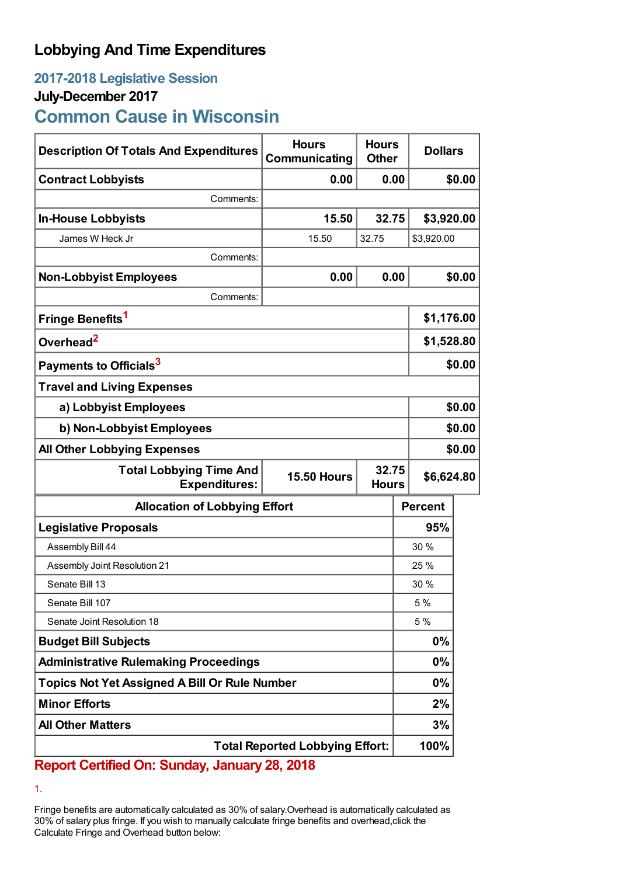## **Lobbying And Time Expenditures**

## **2017-2018 Legislative Session**

### **July-December 2017**

# **Common Cause in Wisconsin**

| <b>Description Of Totals And Expenditures</b>          | <b>Hours</b><br>Communicating               | <b>Hours</b><br><b>Other</b> |                | <b>Dollars</b> |  |
|--------------------------------------------------------|---------------------------------------------|------------------------------|----------------|----------------|--|
| <b>Contract Lobbyists</b>                              | 0.00                                        |                              | 0.00           | \$0.00         |  |
| Comments:                                              |                                             |                              |                |                |  |
| <b>In-House Lobbyists</b>                              | 15.50                                       | 32.75                        |                | \$3,920.00     |  |
| James W Heck Jr                                        | 15.50                                       | 32.75                        | \$3,920.00     |                |  |
| Comments:                                              |                                             |                              |                |                |  |
| <b>Non-Lobbyist Employees</b>                          | 0.00                                        |                              | 0.00           | \$0.00         |  |
| Comments:                                              |                                             |                              |                |                |  |
| Fringe Benefits <sup>1</sup>                           |                                             |                              | \$1,176.00     |                |  |
| Overhead <sup>2</sup>                                  |                                             |                              | \$1,528.80     |                |  |
| Payments to Officials <sup>3</sup>                     |                                             |                              | \$0.00         |                |  |
| <b>Travel and Living Expenses</b>                      |                                             |                              |                |                |  |
| a) Lobbyist Employees                                  |                                             |                              |                | \$0.00         |  |
| b) Non-Lobbyist Employees                              |                                             |                              |                | \$0.00         |  |
| <b>All Other Lobbying Expenses</b>                     |                                             |                              |                | \$0.00         |  |
| <b>Total Lobbying Time And</b><br><b>Expenditures:</b> | 32.75<br><b>15.50 Hours</b><br><b>Hours</b> |                              |                | \$6,624.80     |  |
| <b>Allocation of Lobbying Effort</b>                   |                                             |                              | <b>Percent</b> |                |  |
| <b>Legislative Proposals</b>                           |                                             |                              | 95%            |                |  |
| Assembly Bill 44                                       |                                             |                              | 30 %           |                |  |
| Assembly Joint Resolution 21                           |                                             |                              | 25 %           |                |  |
| Senate Bill 13                                         |                                             |                              | 30%            |                |  |
| Senate Bill 107                                        |                                             |                              | 5 %            |                |  |
| Senate Joint Resolution 18                             |                                             |                              | 5 %            |                |  |
| <b>Budget Bill Subjects</b>                            |                                             |                              | $0\%$          |                |  |
| <b>Administrative Rulemaking Proceedings</b>           |                                             |                              | $0\%$          |                |  |
| <b>Topics Not Yet Assigned A Bill Or Rule Number</b>   |                                             |                              | $0\%$          |                |  |
| <b>Minor Efforts</b>                                   |                                             |                              | 2%             |                |  |
| <b>All Other Matters</b>                               |                                             |                              | 3%             |                |  |
| <b>Total Reported Lobbying Effort:</b>                 |                                             |                              | 100%           |                |  |

### **Report Certified On: Sunday, January 28, 2018**

1.

Fringe benefits are automatically calculated as 30% of salary.Overhead is automatically calculated as 30% of salary plus fringe. If you wish to manually calculate fringe benefits and overhead,click the Calculate Fringe and Overhead button below: